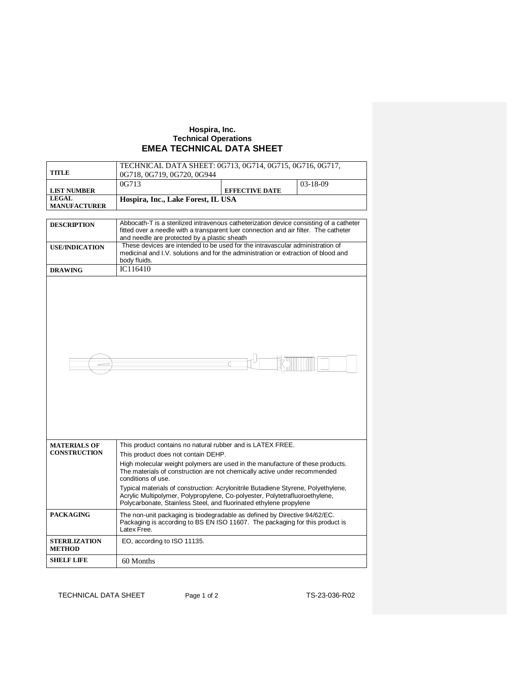## **Hospira, Inc. Technical Operations EMEA TECHNICAL DATA SHEET**

| TECHNICAL DATA SHEET: 0G713, 0G714, 0G715, 0G716, 0G717,                                                                                          |                          |                                                                                                                                                                                                                                                                                                                                                                                                                                                          |  |  |  |
|---------------------------------------------------------------------------------------------------------------------------------------------------|--------------------------|----------------------------------------------------------------------------------------------------------------------------------------------------------------------------------------------------------------------------------------------------------------------------------------------------------------------------------------------------------------------------------------------------------------------------------------------------------|--|--|--|
| 0G718, 0G719, 0G720, 0G944                                                                                                                        |                          |                                                                                                                                                                                                                                                                                                                                                                                                                                                          |  |  |  |
| 0G713                                                                                                                                             |                          | $03 - 18 - 09$                                                                                                                                                                                                                                                                                                                                                                                                                                           |  |  |  |
|                                                                                                                                                   | <b>EFFECTIVE DATE</b>    |                                                                                                                                                                                                                                                                                                                                                                                                                                                          |  |  |  |
|                                                                                                                                                   |                          |                                                                                                                                                                                                                                                                                                                                                                                                                                                          |  |  |  |
|                                                                                                                                                   |                          |                                                                                                                                                                                                                                                                                                                                                                                                                                                          |  |  |  |
|                                                                                                                                                   |                          |                                                                                                                                                                                                                                                                                                                                                                                                                                                          |  |  |  |
| fitted over a needle with a transparent luer connection and air filter. The catheter                                                              |                          |                                                                                                                                                                                                                                                                                                                                                                                                                                                          |  |  |  |
|                                                                                                                                                   |                          |                                                                                                                                                                                                                                                                                                                                                                                                                                                          |  |  |  |
| These devices are intended to be used for the intravascular administration of<br><b>USE/INDICATION</b>                                            |                          |                                                                                                                                                                                                                                                                                                                                                                                                                                                          |  |  |  |
|                                                                                                                                                   |                          |                                                                                                                                                                                                                                                                                                                                                                                                                                                          |  |  |  |
|                                                                                                                                                   |                          |                                                                                                                                                                                                                                                                                                                                                                                                                                                          |  |  |  |
|                                                                                                                                                   |                          |                                                                                                                                                                                                                                                                                                                                                                                                                                                          |  |  |  |
|                                                                                                                                                   |                          |                                                                                                                                                                                                                                                                                                                                                                                                                                                          |  |  |  |
|                                                                                                                                                   |                          |                                                                                                                                                                                                                                                                                                                                                                                                                                                          |  |  |  |
|                                                                                                                                                   |                          |                                                                                                                                                                                                                                                                                                                                                                                                                                                          |  |  |  |
|                                                                                                                                                   |                          |                                                                                                                                                                                                                                                                                                                                                                                                                                                          |  |  |  |
|                                                                                                                                                   |                          |                                                                                                                                                                                                                                                                                                                                                                                                                                                          |  |  |  |
|                                                                                                                                                   |                          |                                                                                                                                                                                                                                                                                                                                                                                                                                                          |  |  |  |
|                                                                                                                                                   |                          |                                                                                                                                                                                                                                                                                                                                                                                                                                                          |  |  |  |
|                                                                                                                                                   |                          |                                                                                                                                                                                                                                                                                                                                                                                                                                                          |  |  |  |
|                                                                                                                                                   |                          |                                                                                                                                                                                                                                                                                                                                                                                                                                                          |  |  |  |
|                                                                                                                                                   |                          |                                                                                                                                                                                                                                                                                                                                                                                                                                                          |  |  |  |
|                                                                                                                                                   |                          |                                                                                                                                                                                                                                                                                                                                                                                                                                                          |  |  |  |
|                                                                                                                                                   |                          |                                                                                                                                                                                                                                                                                                                                                                                                                                                          |  |  |  |
|                                                                                                                                                   |                          |                                                                                                                                                                                                                                                                                                                                                                                                                                                          |  |  |  |
|                                                                                                                                                   |                          |                                                                                                                                                                                                                                                                                                                                                                                                                                                          |  |  |  |
|                                                                                                                                                   |                          |                                                                                                                                                                                                                                                                                                                                                                                                                                                          |  |  |  |
|                                                                                                                                                   |                          |                                                                                                                                                                                                                                                                                                                                                                                                                                                          |  |  |  |
|                                                                                                                                                   |                          |                                                                                                                                                                                                                                                                                                                                                                                                                                                          |  |  |  |
|                                                                                                                                                   |                          |                                                                                                                                                                                                                                                                                                                                                                                                                                                          |  |  |  |
|                                                                                                                                                   |                          |                                                                                                                                                                                                                                                                                                                                                                                                                                                          |  |  |  |
|                                                                                                                                                   |                          |                                                                                                                                                                                                                                                                                                                                                                                                                                                          |  |  |  |
|                                                                                                                                                   |                          |                                                                                                                                                                                                                                                                                                                                                                                                                                                          |  |  |  |
|                                                                                                                                                   |                          |                                                                                                                                                                                                                                                                                                                                                                                                                                                          |  |  |  |
| The materials of construction are not chemically active under recommended                                                                         |                          |                                                                                                                                                                                                                                                                                                                                                                                                                                                          |  |  |  |
| conditions of use.                                                                                                                                |                          |                                                                                                                                                                                                                                                                                                                                                                                                                                                          |  |  |  |
|                                                                                                                                                   |                          |                                                                                                                                                                                                                                                                                                                                                                                                                                                          |  |  |  |
|                                                                                                                                                   |                          |                                                                                                                                                                                                                                                                                                                                                                                                                                                          |  |  |  |
| Typical materials of construction: Acrylonitrile Butadiene Styrene, Polyethylene,                                                                 |                          |                                                                                                                                                                                                                                                                                                                                                                                                                                                          |  |  |  |
| Acrylic Multipolymer, Polypropylene, Co-polyester, Polytetrafluoroethylene,<br>Polycarbonate, Stainless Steel, and fluorinated ethylene propylene |                          |                                                                                                                                                                                                                                                                                                                                                                                                                                                          |  |  |  |
|                                                                                                                                                   |                          |                                                                                                                                                                                                                                                                                                                                                                                                                                                          |  |  |  |
| The non-unit packaging is biodegradable as defined by Directive 94/62/EC.                                                                         |                          |                                                                                                                                                                                                                                                                                                                                                                                                                                                          |  |  |  |
| Packaging is according to BS EN ISO 11607. The packaging for this product is<br>Latex Free.                                                       |                          |                                                                                                                                                                                                                                                                                                                                                                                                                                                          |  |  |  |
|                                                                                                                                                   |                          |                                                                                                                                                                                                                                                                                                                                                                                                                                                          |  |  |  |
| EO, according to ISO 11135.                                                                                                                       |                          |                                                                                                                                                                                                                                                                                                                                                                                                                                                          |  |  |  |
|                                                                                                                                                   |                          |                                                                                                                                                                                                                                                                                                                                                                                                                                                          |  |  |  |
| 60 Months                                                                                                                                         |                          |                                                                                                                                                                                                                                                                                                                                                                                                                                                          |  |  |  |
|                                                                                                                                                   | body fluids.<br>IC116410 | Hospira, Inc., Lake Forest, IL USA<br>Abbocath-T is a sterilized intravenous catheterization device consisting of a catheter<br>and needle are protected by a plastic sheath<br>medicinal and I.V. solutions and for the administration or extraction of blood and<br>This product contains no natural rubber and is LATEX FREE.<br>This product does not contain DEHP.<br>High molecular weight polymers are used in the manufacture of these products. |  |  |  |